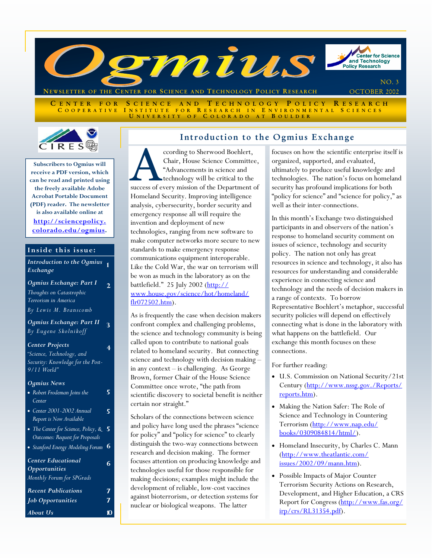

ENTER FOR SCIENCE AND TECHNOLOGY POLICY RESEARCH<br>COOPERATIVE INSTITUTE FOR RESEARCH IN ENVIRONMENTAL SCIENCES INSTITUTE FOR RESEARCH IN ENVIRONMENTAL SCIENCES UNIVERSITY OF COLORADO AT BOULDER



**Subscribers to Ogmius will receive a PDF version, which can be read and printed using the freely available Adobe Acrobat Portable Document (PDF) reader. The newsletter is also available online at http://sciencepolicy. [colorado.edu/ogmius.](http://sciencepolicy.colorado.edu/ogmius)** 

#### **Inside this issue:**

#### *Introduction to the Ogmius*  **1**  *Exchange*

*Ogmius Exchange: Part I Thoughts on Catastrophic Terrorism in America By Lewis M. Branscomb* 

**2** 

**4** 

*Ogmius Exchange: Part II By Eugene Skolnikoff*  **3** 

#### *Center Projects*

*"Science, Technology, and Security: Knowledge for the Post-9/11 World"* 

#### *Ogmius News*

| Одшия і чему                        |    |  |
|-------------------------------------|----|--|
| • Robert Frodeman Joins the         | 5  |  |
| Center                              |    |  |
| • Center 2001-2002 Annual           | 5  |  |
| Report is Now Available             |    |  |
| • The Center for Science, Policy, & | -5 |  |
| Outcomes: Request for Proposals     |    |  |
| • Stanford Energy Modeling Forum    | 6  |  |
| <b>Center Educational</b>           |    |  |
| <i><b>Opportunities</b></i>         |    |  |
| Monthly Forum for SPGrads           |    |  |
|                                     |    |  |

| Recent Publications      | 7              |
|--------------------------|----------------|
| <b>Job Opportunities</b> | 7              |
| About Us                 | $\blacksquare$ |

### Introduction to the Ogmius Exchange

cording to Sherwood Boehlert,<br>
Chair, House Science Committee,<br>
"Advancements in science and<br>
technology will be critical to the<br>
success of every mission of the Department of Chair, House Science Committee, "Advancements in science and technology will be critical to the Homeland Security. Improving intelligence analysis, cybersecurity, border security and emergency response all will require the invention and deployment of new technologies, ranging from new software to make computer networks more secure to new standards to make emergency response communications equipment interoperable. Like the Cold War, the war on terrorism will be won as much in the laboratory as on the battlefield." 25 July 2002 (<u>http://</u> [www.house.gov/science/hot/homeland/](http://www.house.gov/science/hot/homeland/flr072502.htm)  $fln(072502.htm)$ .

As is frequently the case when decision makers confront complex and challenging problems, the science and technology community is being called upon to contribute to national goals related to homeland security. But connecting science and technology with decision making – in any context – is challenging. As George Brown, former Chair of the House Science Committee once wrote, "the path from scientific discovery to societal benefit is neither certain nor straight."

Scholars of the connections between science and policy have long used the phrases "science for policy" and "policy for science" to clearly distinguish the two-way connections between research and decision making. The former focuses attention on producing knowledge and technologies useful for those responsible for making decisions; examples might include the development of reliable, low-cost vaccines against bioterrorism, or detection systems for nuclear or biological weapons. The latter

focuses on how the scientific enterprise itself is organized, supported, and evaluated, ultimately to produce useful knowledge and technologies. The nation's focus on homeland security has profound implications for both "policy for science" and "science for policy," as well as their inter-connections.

In this month's Exchange two distinguished participants in and observers of the nation's response to homeland security comment on issues of science, technology and security policy. The nation not only has great resources in science and technology, it also has resources for understanding and considerable experience in connecting science and technology and the needs of decision makers in a range of contexts. To borrow Representative Boehlert's metaphor, successful security policies will depend on effectively connecting what is done in the laboratory with what happens on the battlefield. Our exchange this month focuses on these connections.

#### For further reading:

- U.S. Commission on National Security/21st [Century \(http://www.nssg.gov./Reports/](http://www.nssg.gov./Reports/reports.htm) reports.htm).
- Making the Nation Safer: The Role of Science and Technology in Countering [Terrorism \(http://www.nap.edu/](http://www.nap.edu/books/0309084814/html/) books/0309084814/html/).
- Homeland Insecurity, by Charles C. Mann [\(http://www.theatlantic.com/](http://www.theatlantic.com/issues/2002/09/mann.htm) issues/2002/09/mann.htm).
- Possible Impacts of Major Counter Terrorism Security Actions on Research, Development, and Higher Education, a CRS [Report for Congress \(http://www.fas.org/](http://www.fas.org/irp/crs/RL31354.pdf) irp/crs/RL31354.pdf).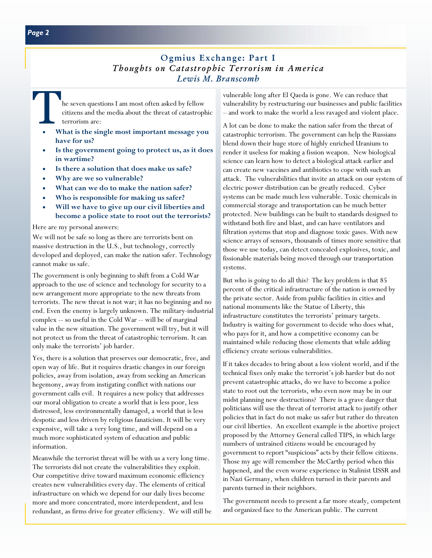### Ogmius Exchange: Part I *Thoughts on Catastrophic Terrorism in America Lewis M. Branscomb*

The seven questions I am most often asked by fellow<br>citizens and the media about the threat of catastroph<br>terrorism are:<br>What is the single most important message you citizens and the media about the threat of catastrophic terrorism are:

- **What is the single most important message you have for us?**
- **Is the government going to protect us, as it does in wartime?**
- **Is there a solution that does make us safe?**
- **Why are we so vulnerable?**
- **What can we do to make the nation safer?**
- **Who is responsible for making us safer?**
- **Will we have to give up our civil liberties and become a police state to root out the terrorists?**

Here are my personal answers:

We will not be safe so long as there are terrorists bent on massive destruction in the U.S., but technology, correctly developed and deployed, can make the nation safer. Technology cannot make us safe.

The government is only beginning to shift from a Cold War approach to the use of science and technology for security to a new arrangement more appropriate to the new threats from terrorists. The new threat is not war; it has no beginning and no end. Even the enemy is largely unknown. The military-industrial complex -- so useful in the Cold War -- will be of marginal value in the new situation. The government will try, but it will not protect us from the threat of catastrophic terrorism. It can only make the terrorists' job harder.

Yes, there is a solution that preserves our democratic, free, and open way of life. But it requires drastic changes in our foreign policies, away from isolation, away from seeking an American hegemony, away from instigating conflict with nations our government calls evil. It requires a new policy that addresses our moral obligation to create a world that is less poor, less distressed, less environmentally damaged, a world that is less despotic and less driven by religious fanaticism. It will be very expensive, will take a very long time, and will depend on a much more sophisticated system of education and public information.

Meanwhile the terrorist threat will be with us a very long time. The terrorists did not create the vulnerabilities they exploit. Our competitive drive toward maximum economic efficiency creates new vulnerabilities every day. The elements of critical infrastructure on which we depend for our daily lives become more and more concentrated, more interdependent, and less redundant, as firms drive for greater efficiency. We will still be vulnerable long after El Qaeda is gone. We can reduce that vulnerability by restructuring our businesses and public facilities – and work to make the world a less ravaged and violent place.

A lot can be done to make the nation safer from the threat of catastrophic terrorism. The government can help the Russians blend down their huge store of highly enriched Uranium to render it useless for making a fission weapon. New biological science can learn how to detect a biological attack earlier and can create new vaccines and antibiotics to cope with such an attack. The vulnerabilities that invite an attack on our system of electric power distribution can be greatly reduced. Cyber systems can be made much less vulnerable. Toxic chemicals in commercial storage and transportation can be much better protected. New buildings can be built to standards designed to withstand both fire and blast, and can have ventilators and filtration systems that stop and diagnose toxic gases. With new science arrays of sensors, thousands of times more sensitive that those we use today, can detect concealed explosives, toxic, and fissionable materials being moved through our transportation systems.

But who is going to do all this? The key problem is that 85 percent of the critical infrastructure of the nation is owned by the private sector. Aside from public facilities in cities and national monuments like the Statue of Liberty, this infrastructure constitutes the terrorists' primary targets. Industry is waiting for government to decide who does what, who pays for it, and how a competitive economy can be maintained while reducing those elements that while adding efficiency create serious vulnerabilities.

If it takes decades to bring about a less violent world, and if the technical fixes only make the terrorist's job harder but do not prevent catastrophic attacks, do we have to become a police state to root out the terrorists, who even now may be in our midst planning new destructions? There is a grave danger that politicians will use the threat of terrorist attack to justify other policies that in fact do not make us safer but rather do threaten our civil liberties. An excellent example is the abortive project proposed by the Attorney General called TIPS, in which large numbers of untrained citizens would be encouraged by government to report "suspicious" acts by their fellow citizens. Those my age will remember the McCarthy period when this happened, and the even worse experience in Stalinist USSR and in Nazi Germany, when children turned in their parents and parents turned in their neighbors.

The government needs to present a far more steady, competent and organized face to the American public. The current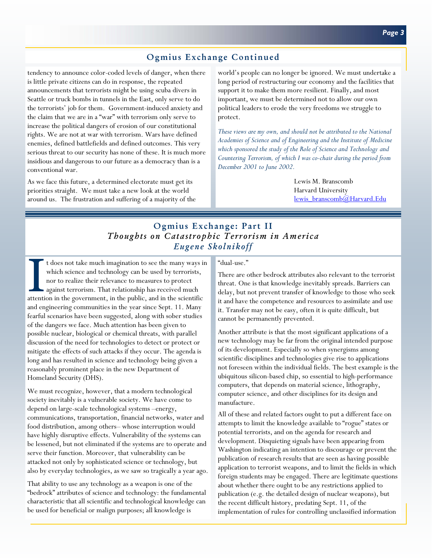## Ogmius Exchange Continued

tendency to announce color-coded levels of danger, when there is little private citizens can do in response, the repeated announcements that terrorists might be using scuba divers in Seattle or truck bombs in tunnels in the East, only serve to do the terrorists' job for them. Government-induced anxiety and the claim that we are in a "war" with terrorism only serve to increase the political dangers of erosion of our constitutional rights. We are not at war with terrorism. Wars have defined enemies, defined battlefields and defined outcomes. This very serious threat to our security has none of these. It is much more insidious and dangerous to our future as a democracy than is a conventional war.

As we face this future, a determined electorate must get its priorities straight. We must take a new look at the world around us. The frustration and suffering of a majority of the world's people can no longer be ignored. We must undertake a long period of restructuring our economy and the facilities that support it to make them more resilient. Finally, and most important, we must be determined not to allow our own political leaders to erode the very freedoms we struggle to protect.

*These views are my own, and should not be attributed to the National Academies of Science and of Engineering and the Institute of Medicine which sponsored the study of the Role of Science and Technology and Countering Terrorism, of which I was co-chair during the period from December 2001 to June 2002.* 

> Lewis M. Branscomb Harvard University [lewis\\_branscomb@Harvard.Edu](mailto:lewis_branscomb@Harvard.Edu)

## Ogmius Exchange: Part II *Thoughts on Catastrophic Terrorism in America Eugene Skolnikoff*

t does not take much imagination to see the many ways in which science and technology can be used by terrorists, nor to realize their relevance to measures to protect against terrorism. That relationship has received much attention in the government, in the public, and in the scientific and engineering communities in the year since Sept. 11. Many fearful scenarios have been suggested, along with sober studies of the dangers we face. Much attention has been given to possible nuclear, biological or chemical threats, with parallel discussion of the need for technologies to detect or protect or mitigate the effects of such attacks if they occur. The agenda is long and has resulted in science and technology being given a reasonably prominent place in the new Department of Homeland Security (DHS).

We must recognize, however, that a modern technological society inevitably is a vulnerable society. We have come to depend on large-scale technological systems –energy, communications, transportation, financial networks, water and food distribution, among others– whose interruption would have highly disruptive effects. Vulnerability of the systems can be lessened, but not eliminated if the systems are to operate and serve their function. Moreover, that vulnerability can be attacked not only by sophisticated science or technology, but also by everyday technologies, as we saw so tragically a year ago.

That ability to use any technology as a weapon is one of the "bedrock" attributes of science and technology: the fundamental characteristic that all scientific and technological knowledge can be used for beneficial or malign purposes; all knowledge is

#### "dual-use."

There are other bedrock attributes also relevant to the terrorist threat. One is that knowledge inevitably spreads. Barriers can delay, but not prevent transfer of knowledge to those who seek it and have the competence and resources to assimilate and use it. Transfer may not be easy, often it is quite difficult, but cannot be permanently prevented.

Another attribute is that the most significant applications of a new technology may be far from the original intended purpose of its development. Especially so when synergisms among scientific disciplines and technologies give rise to applications not foreseen within the individual fields. The best example is the ubiquitous silicon-based chip, so essential to high-performance computers, that depends on material science, lithography, computer science, and other disciplines for its design and manufacture.

All of these and related factors ought to put a different face on attempts to limit the knowledge available to "rogue" states or potential terrorists, and on the agenda for research and development. Disquieting signals have been appearing from Washington indicating an intention to discourage or prevent the publication of research results that are seen as having possible application to terrorist weapons, and to limit the fields in which foreign students may be engaged. There are legitimate questions about whether there ought to be any restrictions applied to publication (e.g. the detailed design of nuclear weapons), but the recent difficult history, predating Sept. 11, of the implementation of rules for controlling unclassified information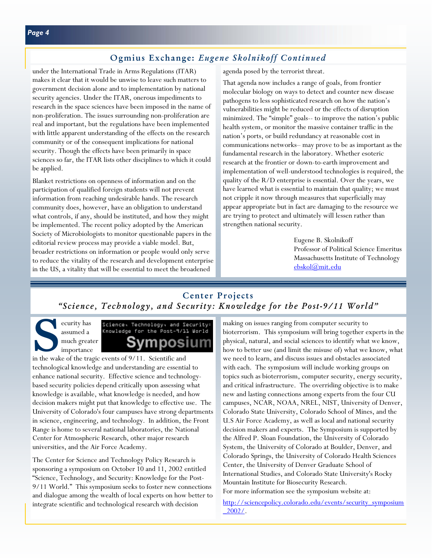### Ogmius Exchange: *Eugene Skolnikoff Continued*

under the International Trade in Arms Regulations (ITAR) makes it clear that it would be unwise to leave such matters to government decision alone and to implementation by national security agencies. Under the ITAR, onerous impediments to research in the space sciences have been imposed in the name of non-proliferation. The issues surrounding non-proliferation are real and important, but the regulations have been implemented with little apparent understanding of the effects on the research community or of the consequent implications for national security. Though the effects have been primarily in space sciences so far, the ITAR lists other disciplines to which it could be applied.

Blanket restrictions on openness of information and on the participation of qualified foreign students will not prevent information from reaching undesirable hands. The research community does, however, have an obligation to understand what controls, if any, should be instituted, and how they might be implemented. The recent policy adopted by the American Society of Microbiologists to monitor questionable papers in the editorial review process may provide a viable model. But, broader restrictions on information or people would only serve to reduce the vitality of the research and development enterprise in the US, a vitality that will be essential to meet the broadened

agenda posed by the terrorist threat.

That agenda now includes a range of goals, from frontier molecular biology on ways to detect and counter new disease pathogens to less sophisticated research on how the nation's vulnerabilities might be reduced or the effects of disruption minimized. The "simple" goals-- to improve the nation's public health system, or monitor the massive container traffic in the nation's ports, or build redundancy at reasonable cost in communications networks– may prove to be as important as the fundamental research in the laboratory. Whether esoteric research at the frontier or down-to-earth improvement and implementation of well-understood technologies is required, the quality of the R/D enterprise is essential. Over the years, we have learned what is essential to maintain that quality; we must not cripple it now through measures that superficially may appear appropriate but in fact are damaging to the resource we are trying to protect and ultimately will lessen rather than strengthen national security.

> Eugene B. Skolnikoff Professor of Political Science Emeritus Massachusetts Institute of Technology [ebskol@mit.edu](mailto:ebskol@mit.edu)

# Center Projects *"Science, Technology, and Security: Knowledge for the Post-9/11 World"*

Science<br>
survity has<br>
assumed a<br>
much great<br>
importance<br>
in the wake of the trag assumed a much greate[r](http://sciencepolicy.colorado.edu/events/security_symposium_2002/)  importance

# Science, Technology, and Security: Knowledge for the Post-9/11 World osıun

in the wake of the tragic events of 9/11. Scientific and technological knowledge and understanding are essential to enhance national security. Effective science and technologybased security policies depend critically upon assessing what knowledge is available, what knowledge is needed, and how decision makers might put that knowledge to effective use. The University of Colorado's four campuses have strong departments in science, engineering, and technology. In addition, the Front Range is home to several national laboratories, the National Center for Atmospheric Research, other major research universities, and the Air Force Academy.

The Center for Science and Technology Policy Research is sponsoring a symposium on October 10 and 11, 2002 entitled "Science, Technology, and Security: Knowledge for the Post-9/11 World." This symposium seeks to foster new connections and dialogue among the wealth of local experts on how better to integrate scientific and technological research with decision

making on issues ranging from computer security to bioterrorism. This symposium will bring together experts in the physical, natural, and social sciences to identify what we know, how to better use (and limit the misuse of) what we know, what we need to learn, and discuss issues and obstacles associated with each. The symposium will include working groups on topics such as bioterrorism, computer security, energy security, and critical infrastructure. The overriding objective is to make new and lasting connections among experts from the four CU campuses, NCAR, NOAA, NREL, NIST, University of Denver, Colorado State University, Colorado School of Mines, and the U.S Air Force Academy, as well as local and national security decision makers and experts. The Symposium is supported by the Alfred P. Sloan Foundation, the University of Colorado System, the University of Colorado at Boulder, Denver, and Colorado Springs, the University of Colorado Health Sciences Center, the University of Denver Graduate School of International Studies, and Colorado State University's Rocky Mountain Institute for Biosecurity Research. For more information see the symposium website at:

[http://sciencepolicy.colorado.edu/events/security\\_symposium](http://sciencepolicy.colorado.edu/events/security_symposium_2002/) \_2002/.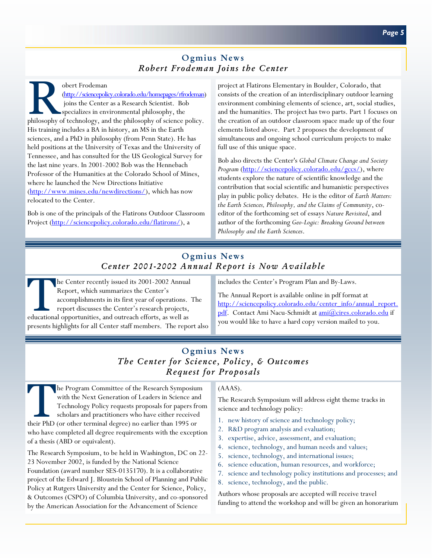### Ogmius News *Robert Frodeman Joins the Center*

obert Frodeman<br>
(http://sciencepolicy.colorado.edu/homepages/rfrodeman)<br>
joins the Center as a Research Scientist. Bob<br>
specializes in environmental philosophy, the<br>
philosophy of technology, and the philosophy of science [\(http://sciencepolicy.colorado.edu/homepages/rfrodeman\)](http://sciencepolicy.colorado.edu/homepages/rfrodeman)  joins the Center as a Research Scientist. Bob specializes in environmental philosophy, the His training includes a BA in history, an MS in the Earth sciences, and a PhD in philosophy (from Penn State). He has held positions at the University of Texas and the University of Tennessee, and has consulted for the US Geological Survey for the last nine years. In 2001-2002 Bob was the Hennebach Professor of the Humanities at the Colorado School of Mines, where he launched the New Directions Initiative [\(http://www.mines.edu/newdirections/\),](http://www.mines.edu/newdirections/) which has now relocated to the Center.

Bob is one of the principals of the Flatirons Outdoor Classroom Project [\(http://sciencepolicy.colorado.edu/flatirons/\),](http://sciencepolicy.colorado.edu/flatirons/) a

project at Flatirons Elementary in Boulder, Colorado, that consists of the creation of an interdisciplinary outdoor learning environment combining elements of science, art, social studies, and the humanities. The project has two parts. Part 1 focuses on the creation of an outdoor classroom space made up of the four elements listed above. Part 2 proposes the development of simultaneous and ongoing school curriculum projects to make full use of this unique space.

Bob also directs the Center's *Global Climate Change and Society Program* [\(http://sciencepolicy.colorado.edu/gccs/\),](http://sciencepolicy.colorado.edu/gccs/) where students explore the nature of scientific knowledge and the contribution that social scientific and humanistic perspectives play in public policy debates. He is the editor of *Earth Matters: the Earth Sciences, Philosophy, and the Claims of Community*, coeditor of the forthcoming set of essays *Nature Revisited*, and author of the forthcoming *Geo-Logic: Breaking Ground between Philosophy and the Earth Sciences*.

# Ogmius News *Center 2001-2002 Annual Report is Now Available*

he Center recently issued its 2001-2002 Annual Report, which summarizes the Center's accomplishments in its first year of operations. The report discusses the Center's research projects, educational opportunities, and outreach efforts, as well as presents highlights for all Center staff members. The report also

includes the Center's Program Plan and By-Laws.

The Annual Report is available online in pdf format at [http://sciencepolicy.colorado.edu/center\\_info/annual\\_report.](http://sciencepolicy.colorado.edu/center_info/annual_report.pdf) [pdf. C](http://sciencepolicy.colorado.edu/center_info/annual_report.pdf)ontact Ami Nacu-Schmidt a[t ami@cires.colorado.edu i](mailto:ami@cires.colorado.edu)f you would like to have a hard copy version mailed to you.

# Ogmius News *The Center for Science, Policy, & Outcomes Request for Proposals*

The Program Committee of the Research Symposium<br>with the Next Generation of Leaders in Science and<br>Technology Policy requests proposals for papers from<br>scholars and practitioners who have either received<br>their PhD (or othe with the Next Generation of Leaders in Science and Technology Policy requests proposals for papers from scholars and practitioners who have either received their PhD (or other terminal degree) no earlier than 1995 or who have completed all degree requirements with the exception of a thesis (ABD or equivalent).

The Research Symposium, to be held in Washington, DC on 22- 23 November 2002, is funded by the National Science Foundation (award number SES-0135170). It is a collaborative project of the Edward J. Bloustein School of Planning and Public Policy at Rutgers University and the Center for Science, Policy, & Outcomes (CSPO) of Columbia University, and co-sponsored by the American Association for the Advancement of Science

#### (AAAS).

The Research Symposium will address eight theme tracks in science and technology policy:

- 1. new history of science and technology policy;
- 2. R&D program analysis and evaluation;
- 3. expertise, advice, assessment, and evaluation;
- 4. science, technology, and human needs and values;
- 5. science, technology, and international issues;
- 6. science education, human resources, and workforce;
- 7. science and technology policy institutions and processes; and
- 8. science, technology, and the public.

Authors whose proposals are accepted will receive travel funding to attend the workshop and will be given an honorarium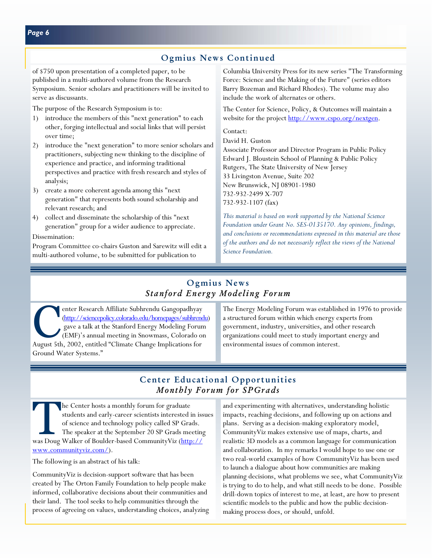## Ogmius News Continued

of \$750 upon presentation of a completed paper, to be published in a multi-authored volume from the Research Symposium. Senior scholars and practitioners will be invited to serve as discussants.

The purpose of the Research Symposium is to:

- 1) introduce the members of this "next generation" to each other, forging intellectual and social links that will persist over time;
- 2) introduce the "next generation" to more senior scholars and practitioners, subjecting new thinking to the discipline of experience and practice, and informing traditional perspectives and practice with fresh research and styles of analysis;
- 3) create a more coherent agenda among this "next generation" that represents both sound scholarship and relevant research; and
- 4) collect and disseminate the scholarship of this "next generation" group for a wider audience to appreciate.

Dissemination:

Program Committee co-chairs Guston and Sarewitz will edit a multi-authored volume, to be submitted for publication to

Columbia University Press for its new series "The Transforming Force: Science and the Making of the Future" (series editors Barry Bozeman and Richard Rhodes). The volume may also include the work of alternates or others.

The Center for Science, Policy, & Outcomes will maintain a website for the project [http://www.cspo.org/nextgen.](http://www.cspo.org/nextgen)

#### Contact:

David H. Guston Associate Professor and Director Program in Public Policy Edward J. Bloustein School of Planning & Public Policy Rutgers, The State University of New Jersey 33 Livingston Avenue, Suite 202 New Brunswick, NJ 08901-1980 732-932-2499 X-707 732-932-1107 (fax)

*This material is based on work supported by the National Science Foundation under Grant No. SES-0135170. Any opinions, findings, and conclusions or recommendations expressed in this material are those of the authors and do not necessarily reflect the views of the National Science Foundation.* 

# Ogmius News *Stanford Energy Modeling Forum*

organizations could meet to study important energy and<br>August 5th 2002 entitled "Climate Change Implications for<br>August 5th 2002 entitled "Climate Change Implications for<br>August 5th 2002 entitled "Climate Change Implicatio enter Research Affiliate Subhrendu Gangopadhyay [\(http://sciencepolicy.colorado.edu/homepages/subhrendu\)](http://sciencepolicy.colorado.edu/homepages/subhrendu)  gave a talk at the Stanford Energy Modeling Forum (EMF)'s annual meeting in Snowmass, Colorado on August 5th, 2002, entitled "Climate Change Implications for Ground Water Systems."

The Energy Modeling Forum was established in 1976 to provide a structured forum within which energy experts from government, industry, universities, and other research environmental issues of common interest.

## Center Educational Opportunities *Monthly Forum for SPGrads*

The Center hosts a monthly forum for graduate students and early-career scientists interested in issues of science and technology policy called SP Grads. The speaker at the September 20 SP Grads meeting [was Doug Walker of Boulder-based CommunityViz \(http://](http://www.communityviz.com/) www.communityviz.com/).

The following is an abstract of his talk:

CommunityViz is decision-support software that has been created by The Orton Family Foundation to help people make informed, collaborative decisions about their communities and their land. The tool seeks to help communities through the process of agreeing on values, understanding choices, analyzing and experimenting with alternatives, understanding holistic impacts, reaching decisions, and following up on actions and plans. Serving as a decision-making exploratory model, CommunityViz makes extensive use of maps, charts, and realistic 3D models as a common language for communication and collaboration. In my remarks I would hope to use one or two real-world examples of how CommunityViz has been used to launch a dialogue about how communities are making planning decisions, what problems we see, what CommunityViz is trying to do to help, and what still needs to be done. Possible drill-down topics of interest to me, at least, are how to present scientific models to the public and how the public decisionmaking process does, or should, unfold.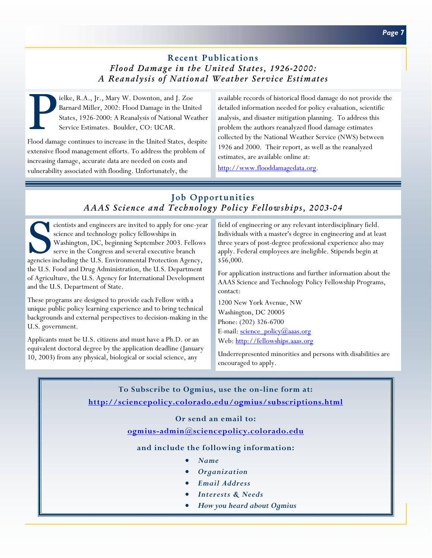# Recent Publications *Flood Damage in the United States, 1926-2000: A Reanalysis of National Weather Service Estimates*

ielke, R.A., Jr., Mary W. Downton, and J. Zoe<br>Barnard Miller, 2002: Flood Damage in the Unit<br>States, 1926-2000: A Reanalysis of National Wes<br>Service Estimates. Boulder, CO: UCAR. Barnard Miller, 2002: Flood Damage in the United States, 1926-2000: A Reanalysis of National Weather Service Estimates. Boulder, CO: UCAR.

Flood damage continues to increase in the United States, despite extensive flood management efforts. To address the problem of increasing damage, accurate data are needed on costs and vulnerability associated with flooding. Unfortunately, the

available records of historical flood damage do not provide the detailed information needed for policy evaluation, scientific analysis, and disaster mitigation planning. To address this problem the authors reanalyzed flood damage estimates collected by the National Weather Service (NWS) between 1926 and 2000. Their report, as well as the reanalyzed estimates, are available online at:

[http://www.flooddamagedata.org.](http://www.flooddamagedata.org) 

# Job Opportunities *AAAS Science and Technology Policy Fellowships, 2003-04*

cientists and engineers are invited to apply for one-year<br>science and technology policy fellowships in<br>Washington, DC, beginning September 2003. Fellows<br>serve in the Congress and several executive branch<br>agencies including science and technology policy fellowships in Washington, DC, beginning September 2003. Fellows serve in the Congress and several executive branch agencies including the U.S. Environmental Protection Agency, the U.S. Food and Drug Administration, the U.S. Department of Agriculture, the U.S. Agency for International Development and the U.S. Department of State.

These programs are designed to provide each Fellow with a unique public policy learning experience and to bring technical backgrounds and external perspectives to decision-making in the U.S. government.

Applicants must be U.S. citizens and must have a Ph.D. or an equivalent doctoral degree by the application deadline (January 10, 2003) from any physical, biological or social science, any

field of engineering or any relevant interdisciplinary field. Individuals with a master's degree in engineering and at least three years of post-degree professional experience also may apply. Federal employees are ineligible. Stipends begin at \$56,000.

For application instructions and further information about the AAAS Science and Technology Policy Fellowship Programs, contact:

1200 New York Avenue, NW Washington, DC 20005 Phone: (202) 326-6700 E-mail:  $\frac{\text{science}}{\text{co}(\omega)}$ aaas.org Web[: http://fellowships.aaas.org](http://fellowships.aaas.org)

Underrepresented minorities and persons with disabilities are encouraged to apply.

**To Subscribe to Ogmius, use the on-line form at: <http://sciencepolicy.colorado.edu/ogmius/subscriptions.html>**

#### **Or send an email to:**

#### **[ogmius-admin@sciencepolicy.colorado.edu](mailto:ogmius-admin@sciencepolicy.colorado.edu)**

#### **and include the following information:**

- *Name*
- *Organization*
- *Email Address*
- *Interests & Needs*
- *How you heard about Ogmius*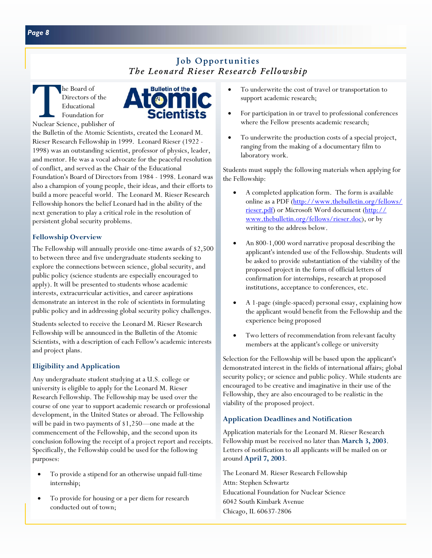# Job Opportunities *The Leonard Rieser Research Fellowship*

TheBoard of<br>
Directors of the<br>
Educational<br>
Foundation for<br>
Nuclear Science, publisher of Directors of the Educational Foundation for



the Bulletin of the Atomic Scientists, created the Leonard M. Rieser Research Fellowship in 1999. Leonard Rieser (1922 - 1998) was an outstanding scientist, professor of physics, leader, and mentor. He was a vocal advocate for the peaceful resolution of conflict, and served as the Chair of the Educational Foundation's Board of Directors from 1984 - 1998. Leonard was also a champion of young people, their ideas, and their efforts to build a more peaceful world. The Leonard M. Rieser Research Fellowship honors the belief Leonard had in the ability of the next generation to play a critical role in the resolution of persistent global security problems.

### **Fellowship Overview**

The Fellowship will annually provide one-time awards of \$2,500 to between three and five undergraduate students seeking to explore the connections between science, global security, and public policy (science students are especially encouraged to apply). It will be presented to students whose academic interests, extracurricular activities, and career aspirations demonstrate an interest in the role of scientists in formulating public policy and in addressing global security policy challenges.

Students selected to receive the Leonard M. Rieser Research Fellowship will be announced in the Bulletin of the Atomic Scientists, with a description of each Fellow's academic interests and project plans.

### **Eligibility and Application**

Any undergraduate student studying at a U.S. college or university is eligible to apply for the Leonard M. Rieser Research Fellowship. The Fellowship may be used over the course of one year to support academic research or professional development, in the United States or abroad. The Fellowship will be paid in two payments of \$1,250—one made at the commencement of the Fellowship, and the second upon its conclusion following the receipt of a project report and receipts. Specifically, the Fellowship could be used for the following purposes:

- To provide a stipend for an otherwise unpaid full-time internship;
- To provide for housing or a per diem for research conducted out of town;
- To underwrite the cost of travel or transportation to support academic research;
- For participation in or travel to professional conferences where the Fellow presents academic research;
- To underwrite the production costs of a special project, ranging from the making of a documentary film to laboratory work.

Students must supply the following materials when applying for the Fellowship:

- A completed application form. The form is available [online as a PDF \(http://www.thebulletin.org/fellows/](http://www.thebulletin.org/fellows/rieser.pdf) [rieser.pdf\) o](http://www.thebulletin.org/fellows/rieser.pdf)r Microsoft Word document [\(http://](http://www.thebulletin.org/fellows/rieser.doc) [www.thebulletin.org/fellows/rieser.doc\),](http://www.thebulletin.org/fellows/rieser.doc) or by writing to the address below.
- An 800-1,000 word narrative proposal describing the applicant's intended use of the Fellowship. Students will be asked to provide substantiation of the viability of the proposed project in the form of official letters of confirmation for internships, research at proposed institutions, acceptance to conferences, etc.
- A 1-page (single-spaced) personal essay, explaining how the applicant would benefit from the Fellowship and the experience being proposed
- Two letters of recommendation from relevant faculty members at the applicant's college or university

Selection for the Fellowship will be based upon the applicant's demonstrated interest in the fields of international affairs; global security policy; or science and public policy. While students are encouraged to be creative and imaginative in their use of the Fellowship, they are also encouraged to be realistic in the viability of the proposed project.

### **Application Deadlines and Notification**

Application materials for the Leonard M. Rieser Research Fellowship must be received no later than **March 3, 2003**. Letters of notification to all applicants will be mailed on or around **April 7, 2003**.

The Leonard M. Rieser Research Fellowship Attn: Stephen Schwartz Educational Foundation for Nuclear Science 6042 South Kimbark Avenue Chicago, IL 60637-2806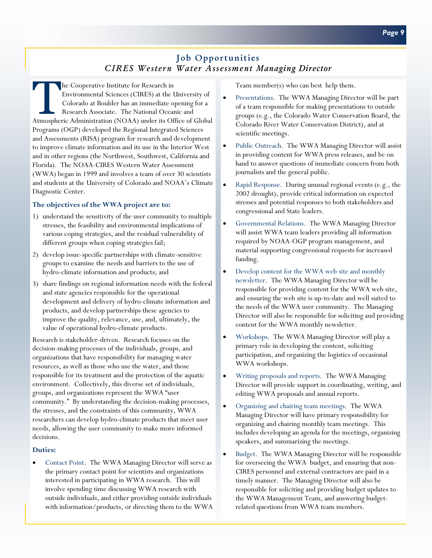# Job Opportunities *CIRES Western Water Assessment Managing Director*

The Cooperative Institute for Research in<br>Environmental Sciences (CIRES) at the U<br>Colorado at Boulder has an immediate of<br>Research Associate. The National Ocean<br>Atmospheric Administration (NOAA) under its Of Environmental Sciences (CIRES) at the University of Colorado at Boulder has an immediate opening for a Research Associate. The National Oceanic and Atmospheric Administration (NOAA) under its Office of Global Programs (OGP) developed the Regional Integrated Sciences and Assessments (RISA) program for research and development to improve climate information and its use in the Interior West and in other regions (the Northwest, Southwest, California and Florida). The NOAA-CIRES Western Water Assessment (WWA) began in 1999 and involves a team of over 30 scientists and students at the University of Colorado and NOAA's Climate Diagnostic Center.

#### **The objectives of the WWA project are to:**

- 1) understand the sensitivity of the user community to multiple stresses, the feasibility and environmental implications of various coping strategies, and the residual vulnerability of different groups when coping strategies fail;
- 2) develop issue-specific partnerships with climate-sensitive groups to examine the needs and barriers to the use of hydro-climate information and products; and
- 3) share findings on regional information needs with the federal and state agencies responsible for the operational development and delivery of hydro-climate information and products, and develop partnerships these agencies to improve the quality, relevance, use, and, ultimately, the value of operational hydro-climate products.

Research is stakeholder-driven. Research focuses on the decision-making processes of the individuals, groups, and organizations that have responsibility for managing water resources, as well as those who use the water, and those responsible for its treatment and the protection of the aquatic environment. Collectively, this diverse set of individuals, groups, and organizations represent the WWA "user community." By understanding the decision-making processes, the stresses, and the constraints of this community, WWA researchers can develop hydro-climate products that meet user needs, allowing the user community to make more informed decisions.

#### **Duties:**

• Contact Point. The WWA Managing Director will serve as the primary contact point for scientists and organizations interested in participating in WWA research. This will involve spending time discussing WWA research with outside individuals, and either providing outside individuals with information/products, or directing them to the WWA Team member(s) who can best help them.

- Presentations. The WWA Managing Director will be part of a team responsible for making presentations to outside groups (e.g., the Colorado Water Conservation Board, the Colorado River Water Conservation District), and at scientific meetings.
- Public Outreach. The WWA Managing Director will assist in providing content for WWA press releases, and be on hand to answer questions of immediate concern from both journalists and the general public.
- Rapid Response. During unusual regional events (e.g., the 2002 drought), provide critical information on expected stresses and potential responses to both stakeholders and congressional and State leaders.
- Governmental Relations. The WWA Managing Director will assist WWA team leaders providing all information required by NOAA-OGP program management, and material supporting congressional requests for increased funding.
- Develop content for the WWA web site and monthly newsletter. The WWA Managing Director will be responsible for providing content for the WWA web site, and ensuring the web site is up-to-date and well suited to the needs of the WWA user community. The Managing Director will also be responsible for soliciting and providing content for the WWA monthly newsletter.
- Workshops. The WWA Managing Director will play a primary role in developing the content, soliciting participation, and organizing the logistics of occasional WWA workshops.
- Writing proposals and reports. The WWA Managing Director will provide support in coordinating, writing, and editing WWA proposals and annual reports.
- Organizing and chairing team meetings. The WWA Managing Director will have primary responsibility for organizing and chairing monthly team meetings. This includes developing an agenda for the meetings, organizing speakers, and summarizing the meetings.
- Budget. The WWA Managing Director will be responsible for overseeing the WWA budget, and ensuring that non-CIRES personnel and external contractors are paid in a timely manner. The Managing Director will also be responsible for soliciting and providing budget updates to the WWA Management Team, and answering budgetrelated questions from WWA team members.